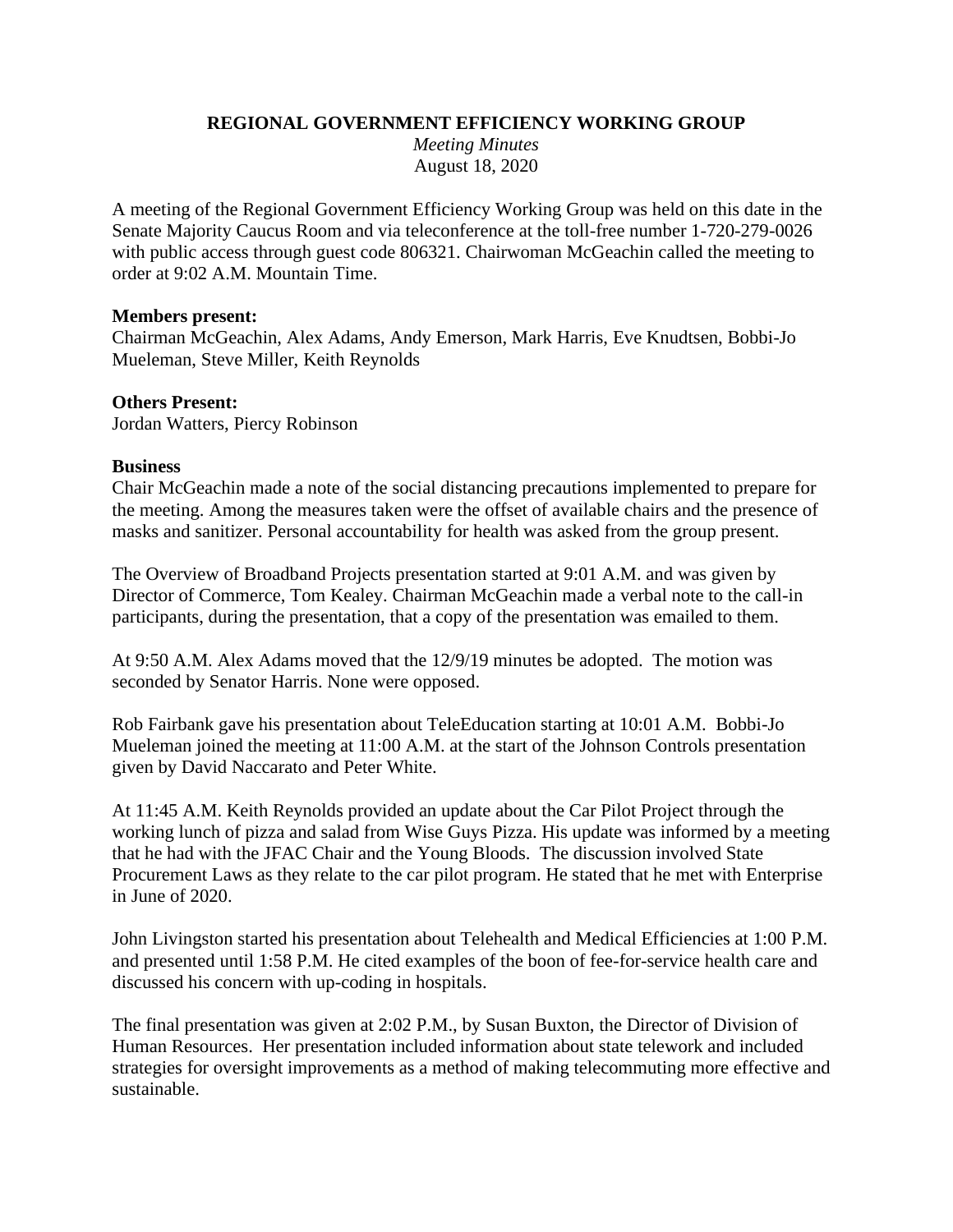#### **REGIONAL GOVERNMENT EFFICIENCY WORKING GROUP**

*Meeting Minutes* August 18, 2020

A meeting of the Regional Government Efficiency Working Group was held on this date in the Senate Majority Caucus Room and via teleconference at the toll-free number 1-720-279-0026 with public access through guest code 806321. Chairwoman McGeachin called the meeting to order at 9:02 A.M. Mountain Time.

#### **Members present:**

Chairman McGeachin, Alex Adams, Andy Emerson, Mark Harris, Eve Knudtsen, Bobbi-Jo Mueleman, Steve Miller, Keith Reynolds

### **Others Present:**

Jordan Watters, Piercy Robinson

#### **Business**

Chair McGeachin made a note of the social distancing precautions implemented to prepare for the meeting. Among the measures taken were the offset of available chairs and the presence of masks and sanitizer. Personal accountability for health was asked from the group present.

The Overview of Broadband Projects presentation started at 9:01 A.M. and was given by Director of Commerce, Tom Kealey. Chairman McGeachin made a verbal note to the call-in participants, during the presentation, that a copy of the presentation was emailed to them.

At 9:50 A.M. Alex Adams moved that the 12/9/19 minutes be adopted. The motion was seconded by Senator Harris. None were opposed.

Rob Fairbank gave his presentation about TeleEducation starting at 10:01 A.M. Bobbi-Jo Mueleman joined the meeting at 11:00 A.M. at the start of the Johnson Controls presentation given by David Naccarato and Peter White.

At 11:45 A.M. Keith Reynolds provided an update about the Car Pilot Project through the working lunch of pizza and salad from Wise Guys Pizza. His update was informed by a meeting that he had with the JFAC Chair and the Young Bloods. The discussion involved State Procurement Laws as they relate to the car pilot program. He stated that he met with Enterprise in June of 2020.

John Livingston started his presentation about Telehealth and Medical Efficiencies at 1:00 P.M. and presented until 1:58 P.M. He cited examples of the boon of fee-for-service health care and discussed his concern with up-coding in hospitals.

The final presentation was given at 2:02 P.M., by Susan Buxton, the Director of Division of Human Resources. Her presentation included information about state telework and included strategies for oversight improvements as a method of making telecommuting more effective and sustainable.